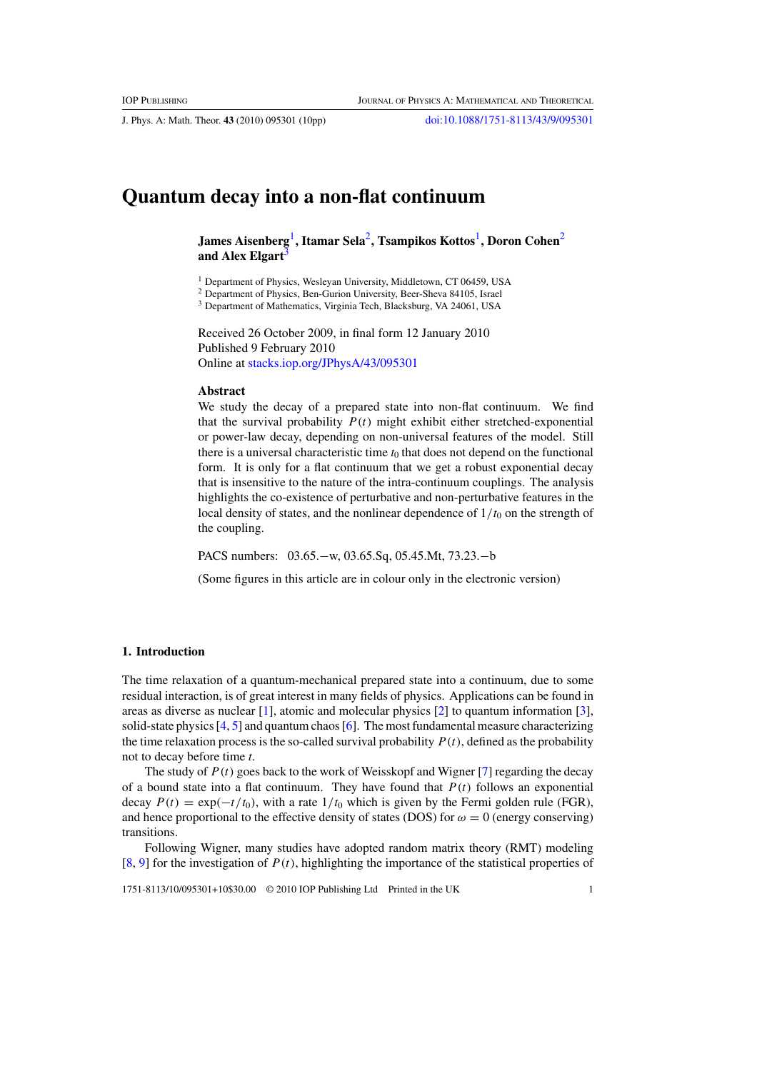J. Phys. A: Math. Theor. **43** (2010) 095301 (10pp) doi:10.1088/1751-8113/43/9/095301

# **Quantum decay into a non-flat continuum**

**James Aisenberg**1**, Itamar Sela**2**, Tsampikos Kottos**1**, Doron Cohen**<sup>2</sup> and Alex Elgart<sup>3</sup>

<sup>1</sup> Department of Physics, Wesleyan University, Middletown, CT 06459, USA

<sup>2</sup> Department of Physics, Ben-Gurion University, Beer-Sheva 84105, Israel

<sup>3</sup> Department of Mathematics, Virginia Tech, Blacksburg, VA 24061, USA

Received 26 October 2009, in final form 12 January 2010 Published 9 February 2010 Online at stacks.iop.org/JPhysA/43/095301

#### **Abstract**

We study the decay of a prepared state into non-flat continuum. We find that the survival probability  $P(t)$  might exhibit either stretched-exponential or power-law decay, depending on non-universal features of the model. Still there is a universal characteristic time  $t_0$  that does not depend on the functional form. It is only for a flat continuum that we get a robust exponential decay that is insensitive to the nature of the intra-continuum couplings. The analysis highlights the co-existence of perturbative and non-perturbative features in the local density of states, and the nonlinear dependence of  $1/t_0$  on the strength of the coupling.

PACS numbers: 03.65.−w, 03.65.Sq, 05.45.Mt, 73.23.−b

(Some figures in this article are in colour only in the electronic version)

## **1. Introduction**

The time relaxation of a quantum-mechanical prepared state into a continuum, due to some residual interaction, is of great interest in many fields of physics. Applications can be found in areas as diverse as nuclear [1], atomic and molecular physics [2] to quantum information [3], solid-state physics  $[4, 5]$  and quantum chaos  $[6]$ . The most fundamental measure characterizing the time relaxation process is the so-called survival probability  $P(t)$ , defined as the probability not to decay before time *t*.

The study of  $P(t)$  goes back to the work of Weisskopf and Wigner [7] regarding the decay of a bound state into a flat continuum. They have found that  $P(t)$  follows an exponential decay  $P(t) = \exp(-t/t_0)$ , with a rate  $1/t_0$  which is given by the Fermi golden rule (FGR), and hence proportional to the effective density of states (DOS) for  $\omega = 0$  (energy conserving) transitions.

Following Wigner, many studies have adopted random matrix theory (RMT) modeling  $[8, 9]$  for the investigation of  $P(t)$ , highlighting the importance of the statistical properties of

1751-8113/10/095301+10\$30.00 © 2010 IOP Publishing Ltd Printed in the UK 1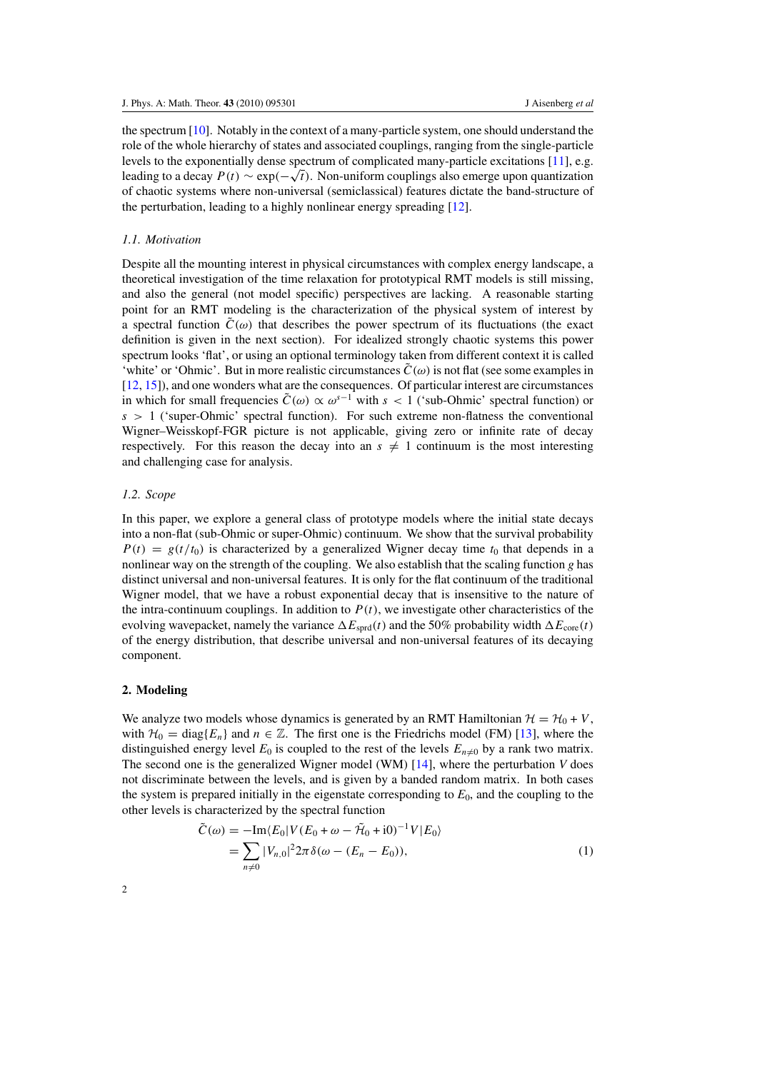the spectrum  $[10]$ . Notably in the context of a many-particle system, one should understand the role of the whole hierarchy of states and associated couplings, ranging from the single-particle levels to the exponentially dense spectrum of complicated many-particle excitations [11], e.g. leading to a decay  $P(t) \sim \exp(-\sqrt{t})$ . Non-uniform couplings also emerge upon quantization of chaotic systems where non-universal (semiclassical) features dictate the band-structure of the perturbation, leading to a highly nonlinear energy spreading [12].

#### *1.1. Motivation*

Despite all the mounting interest in physical circumstances with complex energy landscape, a theoretical investigation of the time relaxation for prototypical RMT models is still missing, and also the general (not model specific) perspectives are lacking. A reasonable starting point for an RMT modeling is the characterization of the physical system of interest by a spectral function  $\tilde{C}(\omega)$  that describes the power spectrum of its fluctuations (the exact definition is given in the next section). For idealized strongly chaotic systems this power spectrum looks 'flat', or using an optional terminology taken from different context it is called 'white' or 'Ohmic'. But in more realistic circumstances  $\tilde{C}(\omega)$  is not flat (see some examples in [12, 15]), and one wonders what are the consequences. Of particular interest are circumstances in which for small frequencies  $\tilde{C}(\omega) \propto \omega^{s-1}$  with  $s < 1$  ('sub-Ohmic' spectral function) or *s >* 1 ('super-Ohmic' spectral function). For such extreme non-flatness the conventional Wigner–Weisskopf-FGR picture is not applicable, giving zero or infinite rate of decay respectively. For this reason the decay into an  $s \neq 1$  continuum is the most interesting and challenging case for analysis.

## *1.2. Scope*

In this paper, we explore a general class of prototype models where the initial state decays into a non-flat (sub-Ohmic or super-Ohmic) continuum. We show that the survival probability  $P(t) = g(t/t_0)$  is characterized by a generalized Wigner decay time  $t_0$  that depends in a nonlinear way on the strength of the coupling. We also establish that the scaling function *g* has distinct universal and non-universal features. It is only for the flat continuum of the traditional Wigner model, that we have a robust exponential decay that is insensitive to the nature of the intra-continuum couplings. In addition to  $P(t)$ , we investigate other characteristics of the evolving wavepacket, namely the variance  $\Delta E_{sprd}(t)$  and the 50% probability width  $\Delta E_{core}(t)$ of the energy distribution, that describe universal and non-universal features of its decaying component.

## **2. Modeling**

We analyze two models whose dynamics is generated by an RMT Hamiltonian  $\mathcal{H} = \mathcal{H}_0 + V$ , with  $\mathcal{H}_0 = \text{diag}\{E_n\}$  and  $n \in \mathbb{Z}$ . The first one is the Friedrichs model (FM) [13], where the distinguished energy level  $E_0$  is coupled to the rest of the levels  $E_{n\neq 0}$  by a rank two matrix. The second one is the generalized Wigner model (WM) [14], where the perturbation *V* does not discriminate between the levels, and is given by a banded random matrix. In both cases the system is prepared initially in the eigenstate corresponding to *E*0, and the coupling to the other levels is characterized by the spectral function

$$
\tilde{C}(\omega) = -\text{Im}\langle E_0 | V(E_0 + \omega - \tilde{\mathcal{H}}_0 + i0)^{-1} V | E_0 \rangle
$$
  
= 
$$
\sum_{n \neq 0} |V_{n,0}|^2 2\pi \delta(\omega - (E_n - E_0)),
$$
 (1)

 $\mathfrak{Z}$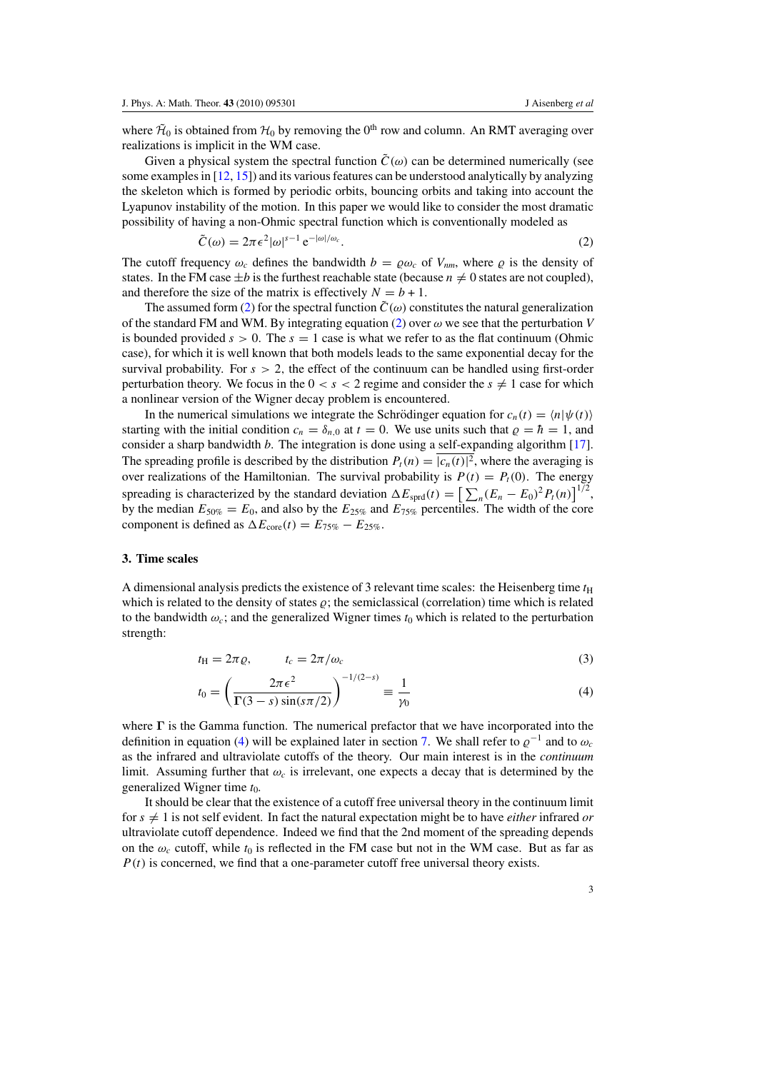where  $\tilde{\mathcal{H}}_0$  is obtained from  $\mathcal{H}_0$  by removing the 0<sup>th</sup> row and column. An RMT averaging over realizations is implicit in the WM case.

Given a physical system the spectral function  $\tilde{C}(\omega)$  can be determined numerically (see some examples in [12, 15]) and its various features can be understood analytically by analyzing the skeleton which is formed by periodic orbits, bouncing orbits and taking into account the Lyapunov instability of the motion. In this paper we would like to consider the most dramatic possibility of having a non-Ohmic spectral function which is conventionally modeled as

$$
\tilde{C}(\omega) = 2\pi \epsilon^2 |\omega|^{s-1} e^{-|\omega|/\omega_c}.
$$
\n(2)

The cutoff frequency  $\omega_c$  defines the bandwidth  $b = \rho \omega_c$  of  $V_{nm}$ , where  $\rho$  is the density of states. In the FM case  $\pm b$  is the furthest reachable state (because  $n \neq 0$  states are not coupled), and therefore the size of the matrix is effectively  $N = b + 1$ .

The assumed form (2) for the spectral function  $\tilde{C}(\omega)$  constitutes the natural generalization of the standard FM and WM. By integrating equation (2) over  $\omega$  we see that the perturbation *V* is bounded provided  $s > 0$ . The  $s = 1$  case is what we refer to as the flat continuum (Ohmic case), for which it is well known that both models leads to the same exponential decay for the survival probability. For  $s > 2$ , the effect of the continuum can be handled using first-order perturbation theory. We focus in the  $0 < s < 2$  regime and consider the  $s \neq 1$  case for which a nonlinear version of the Wigner decay problem is encountered.

In the numerical simulations we integrate the Schrödinger equation for  $c_n(t) = \langle n | \psi(t) \rangle$ starting with the initial condition  $c_n = \delta_{n,0}$  at  $t = 0$ . We use units such that  $\rho = \hbar = 1$ , and consider a sharp bandwidth *b*. The integration is done using a self-expanding algorithm [17]. The spreading profile is described by the distribution  $P_t(n) = |c_n(t)|^2$ , where the averaging is over realizations of the Hamiltonian. The survival probability is  $P(t) = P<sub>t</sub>(0)$ . The energy spreading is characterized by the standard deviation  $\Delta E_{\text{sprd}}(t) = \left[\sum_{n} (E_n - E_0)^2 P_t(n)\right]^{1/2}$ , by the median  $E_{50\%} = E_0$ , and also by the  $E_{25\%}$  and  $E_{75\%}$  percentiles. The width of the core component is defined as  $\Delta E_{\text{core}}(t) = E_{75\%} - E_{25\%}$ .

### **3. Time scales**

A dimensional analysis predicts the existence of 3 relevant time scales: the Heisenberg time  $t<sub>H</sub>$ which is related to the density of states  $\rho$ ; the semiclassical (correlation) time which is related to the bandwidth  $\omega_c$ ; and the generalized Wigner times  $t_0$  which is related to the perturbation strength:

$$
t_{\rm H} = 2\pi \varrho, \qquad t_c = 2\pi/\omega_c \tag{3}
$$

$$
t_0 = \left(\frac{2\pi\epsilon^2}{\Gamma(3-s)\sin(s\pi/2)}\right)^{-1/(2-s)} \equiv \frac{1}{\gamma_0} \tag{4}
$$

where  $\Gamma$  is the Gamma function. The numerical prefactor that we have incorporated into the definition in equation (4) will be explained later in section 7. We shall refer to  $\varrho^{-1}$  and to  $\omega_c$ as the infrared and ultraviolate cutoffs of the theory. Our main interest is in the *continuum* limit. Assuming further that  $\omega_c$  is irrelevant, one expects a decay that is determined by the generalized Wigner time *t*0.

It should be clear that the existence of a cutoff free universal theory in the continuum limit for  $s \neq 1$  is not self evident. In fact the natural expectation might be to have *either* infrared *or* ultraviolate cutoff dependence. Indeed we find that the 2nd moment of the spreading depends on the  $\omega_c$  cutoff, while  $t_0$  is reflected in the FM case but not in the WM case. But as far as  $P(t)$  is concerned, we find that a one-parameter cutoff free universal theory exists.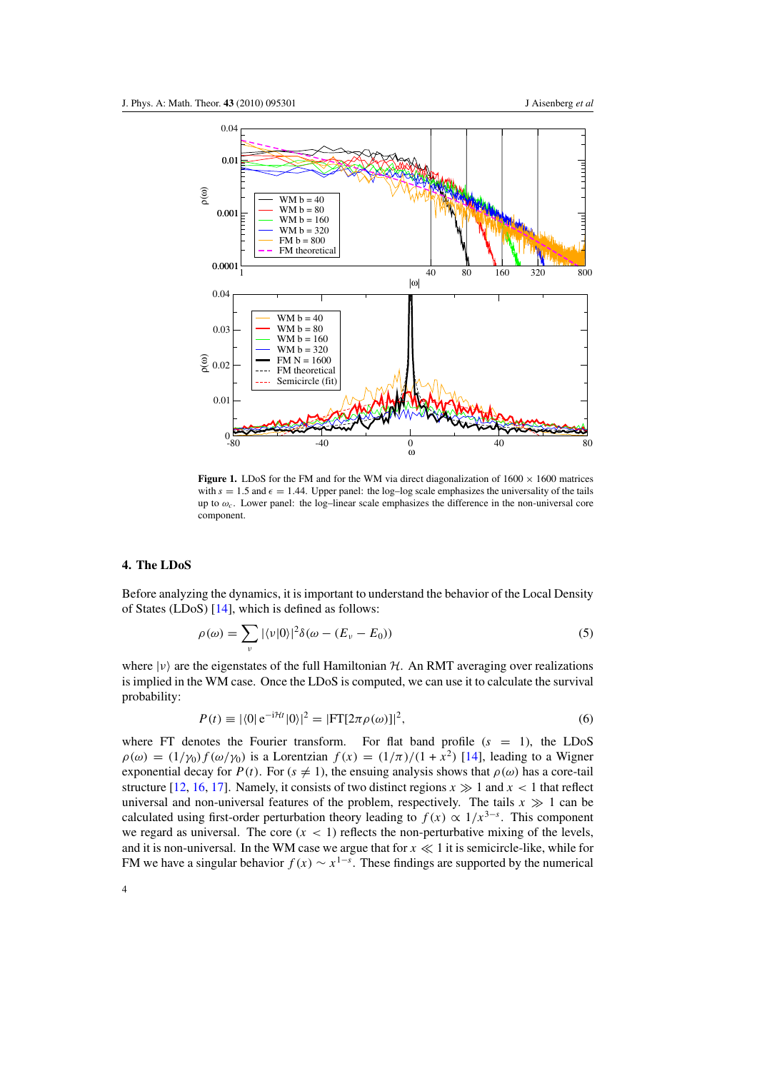

**Figure 1.** LDoS for the FM and for the WM via direct diagonalization of  $1600 \times 1600$  matrices with  $s = 1.5$  and  $\epsilon = 1.44$ . Upper panel: the log-log scale emphasizes the universality of the tails up to  $\omega_c$ . Lower panel: the log–linear scale emphasizes the difference in the non-universal core component.

## **4. The LDoS**

Before analyzing the dynamics, it is important to understand the behavior of the Local Density of States (LDoS) [14], which is defined as follows:

$$
\rho(\omega) = \sum_{\nu} |\langle \nu | 0 \rangle|^2 \delta(\omega - (E_{\nu} - E_0))
$$
\n(5)

where  $|\nu\rangle$  are the eigenstates of the full Hamiltonian  $H$ . An RMT averaging over realizations is implied in the WM case. Once the LDoS is computed, we can use it to calculate the survival probability:

$$
P(t) \equiv |\langle 0| \,\mathrm{e}^{-\mathrm{i}\mathcal{H}t} |0\rangle|^2 = |\mathrm{FT}[2\pi\rho(\omega)]|^2,\tag{6}
$$

where FT denotes the Fourier transform. For flat band profile  $(s = 1)$ , the LDoS  $\rho(\omega) = (1/\gamma_0) f(\omega/\gamma_0)$  is a Lorentzian  $f(x) = (1/\pi)/(1 + x^2)$  [14], leading to a Wigner exponential decay for *P*(*t*). For ( $s \neq 1$ ), the ensuing analysis shows that  $\rho(\omega)$  has a core-tail structure [12, 16, 17]. Namely, it consists of two distinct regions  $x \gg 1$  and  $x < 1$  that reflect universal and non-universal features of the problem, respectively. The tails  $x \gg 1$  can be calculated using first-order perturbation theory leading to  $f(x) \propto 1/x^{3-s}$ . This component we regard as universal. The core  $(x < 1)$  reflects the non-perturbative mixing of the levels, and it is non-universal. In the WM case we argue that for  $x \ll 1$  it is semicircle-like, while for FM we have a singular behavior  $f(x) \sim x^{1-\delta}$ . These findings are supported by the numerical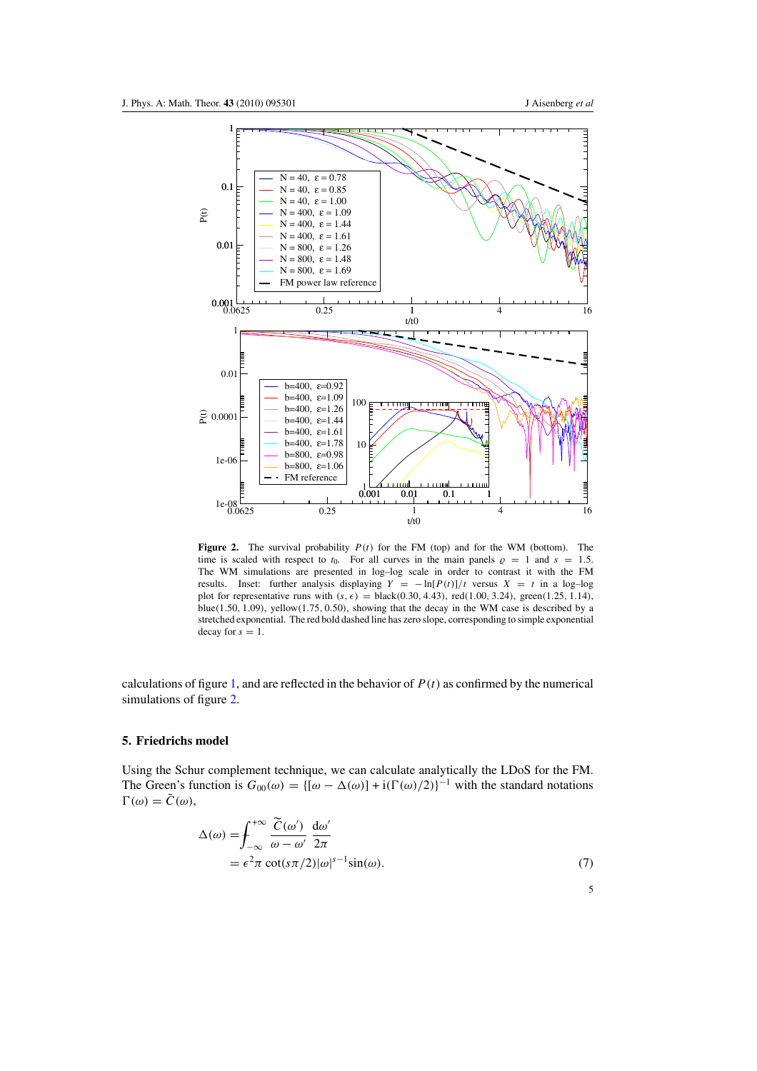5



**Figure 2.** The survival probability  $P(t)$  for the FM (top) and for the WM (bottom). The time is scaled with respect to  $t_0$ . For all curves in the main panels  $\rho = 1$  and  $s = 1.5$ . The WM simulations are presented in log–log scale in order to contrast it with the FM results. Inset: further analysis displaying  $Y = -\ln[P(t)]/t$  versus  $X = t$  in a log-log plot for representative runs with  $(s, \epsilon) = \text{black}(0.30, 4.43)$ , red $(1.00, 3.24)$ , green $(1.25, 1.14)$ , blue*(*1*.*50*,* 1*.*09*)*, yellow*(*1*.*75*,* 0*.*50*)*, showing that the decay in the WM case is described by a stretched exponential. The red bold dashed line has zero slope, corresponding to simple exponential decay for  $s = 1$ .

calculations of figure 1, and are reflected in the behavior of  $P(t)$  as confirmed by the numerical simulations of figure 2.

## **5. Friedrichs model**

Using the Schur complement technique, we can calculate analytically the LDoS for the FM. The Green's function is  $G_{00}(\omega) = \{ [\omega - \Delta(\omega)] + i(\Gamma(\omega)/2) \}^{-1}$  with the standard notations  $\Gamma(\omega) = \tilde{C}(\omega),$ 

$$
\Delta(\omega) = \int_{-\infty}^{+\infty} \frac{\widetilde{C}(\omega')}{\omega - \omega'} \frac{d\omega'}{2\pi}
$$
  
=  $\epsilon^2 \pi \cot(s\pi/2) |\omega|^{s-1} \sin(\omega).$  (7)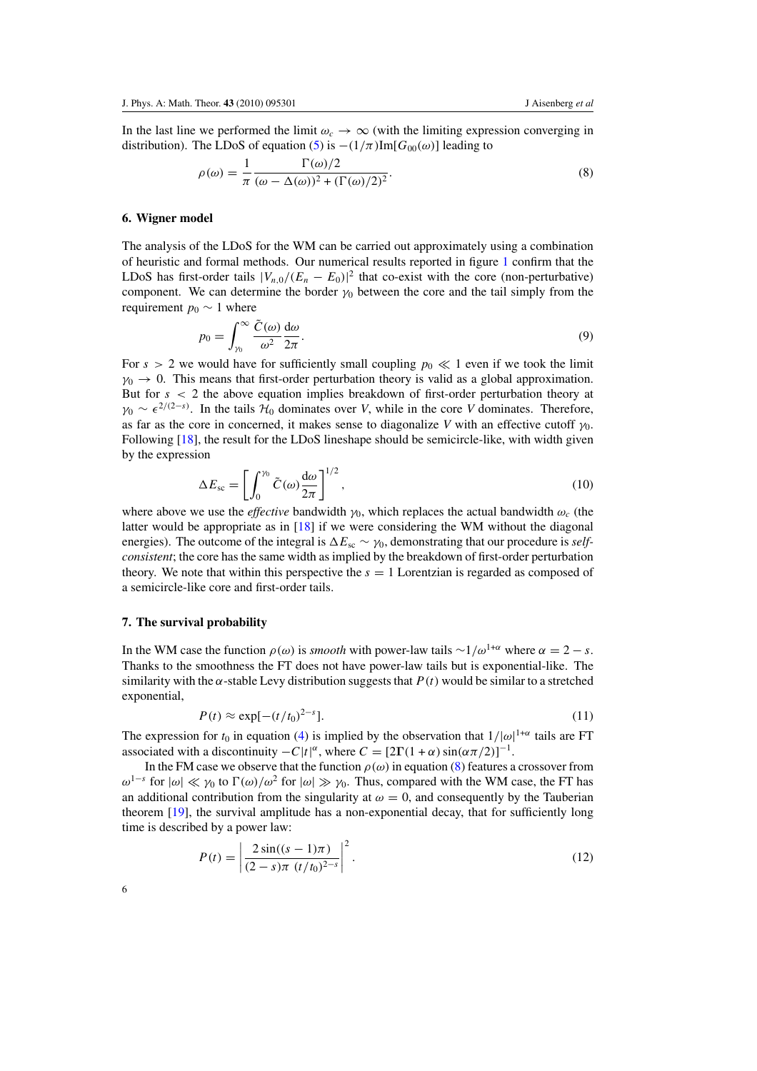In the last line we performed the limit  $\omega_c \to \infty$  (with the limiting expression converging in distribution). The LDoS of equation (5) is  $-(1/\pi)$ Im[ $G_{00}(\omega)$ ] leading to

$$
\rho(\omega) = \frac{1}{\pi} \frac{\Gamma(\omega)/2}{(\omega - \Delta(\omega))^2 + (\Gamma(\omega)/2)^2}.
$$
\n(8)

#### **6. Wigner model**

The analysis of the LDoS for the WM can be carried out approximately using a combination of heuristic and formal methods. Our numerical results reported in figure 1 confirm that the LDoS has first-order tails  $|V_{n,0}/(E_n - E_0)|^2$  that co-exist with the core (non-perturbative) component. We can determine the border  $\gamma_0$  between the core and the tail simply from the requirement  $p_0 \sim 1$  where

$$
p_0 = \int_{\gamma_0}^{\infty} \frac{\tilde{C}(\omega)}{\omega^2} \frac{d\omega}{2\pi}.
$$
 (9)

For  $s > 2$  we would have for sufficiently small coupling  $p_0 \ll 1$  even if we took the limit  $\gamma_0 \rightarrow 0$ . This means that first-order perturbation theory is valid as a global approximation. But for *s <* 2 the above equation implies breakdown of first-order perturbation theory at  $\gamma_0 \sim \epsilon^{2/(2-s)}$ . In the tails  $\mathcal{H}_0$  dominates over *V*, while in the core *V* dominates. Therefore, as far as the core in concerned, it makes sense to diagonalize *V* with an effective cutoff *γ*0. Following [18], the result for the LDoS lineshape should be semicircle-like, with width given by the expression

$$
\Delta E_{\rm sc} = \left[ \int_0^{\gamma_0} \tilde{C}(\omega) \frac{d\omega}{2\pi} \right]^{1/2},\tag{10}
$$

where above we use the *effective* bandwidth  $\gamma_0$ , which replaces the actual bandwidth  $\omega_c$  (the latter would be appropriate as in [18] if we were considering the WM without the diagonal energies). The outcome of the integral is  $\Delta E_{\rm sc} \sim \gamma_0$ , demonstrating that our procedure is *selfconsistent*; the core has the same width as implied by the breakdown of first-order perturbation theory. We note that within this perspective the  $s = 1$  Lorentzian is regarded as composed of a semicircle-like core and first-order tails.

#### **7. The survival probability**

In the WM case the function  $\rho(\omega)$  is *smooth* with power-law tails ∼1/ $\omega^{1+\alpha}$  where  $\alpha = 2 - s$ . Thanks to the smoothness the FT does not have power-law tails but is exponential-like. The similarity with the  $\alpha$ -stable Levy distribution suggests that  $P(t)$  would be similar to a stretched exponential,

$$
P(t) \approx \exp[-(t/t_0)^{2-s}].
$$
 (11)

The expression for  $t_0$  in equation (4) is implied by the observation that  $1/|\omega|^{1+\alpha}$  tails are FT associated with a discontinuity  $-C|t|^{\alpha}$ , where  $C = [2\Gamma(1+\alpha)\sin(\alpha \pi/2)]^{-1}$ .

In the FM case we observe that the function  $\rho(\omega)$  in equation (8) features a crossover from *ω*<sup>1−*s*</sup> for  $|ω|$  ≪  $γ$ <sub>0</sub> to  $\Gamma(ω)/ω^2$  for  $|ω|$  ≫  $γ$ <sub>0</sub>. Thus, compared with the WM case, the FT has an additional contribution from the singularity at  $\omega = 0$ , and consequently by the Tauberian theorem [19], the survival amplitude has a non-exponential decay, that for sufficiently long time is described by a power law:

$$
P(t) = \left| \frac{2\sin((s-1)\pi)}{(2-s)\pi} \frac{1}{(t/t_0)^{2-s}} \right|^2.
$$
 (12)

6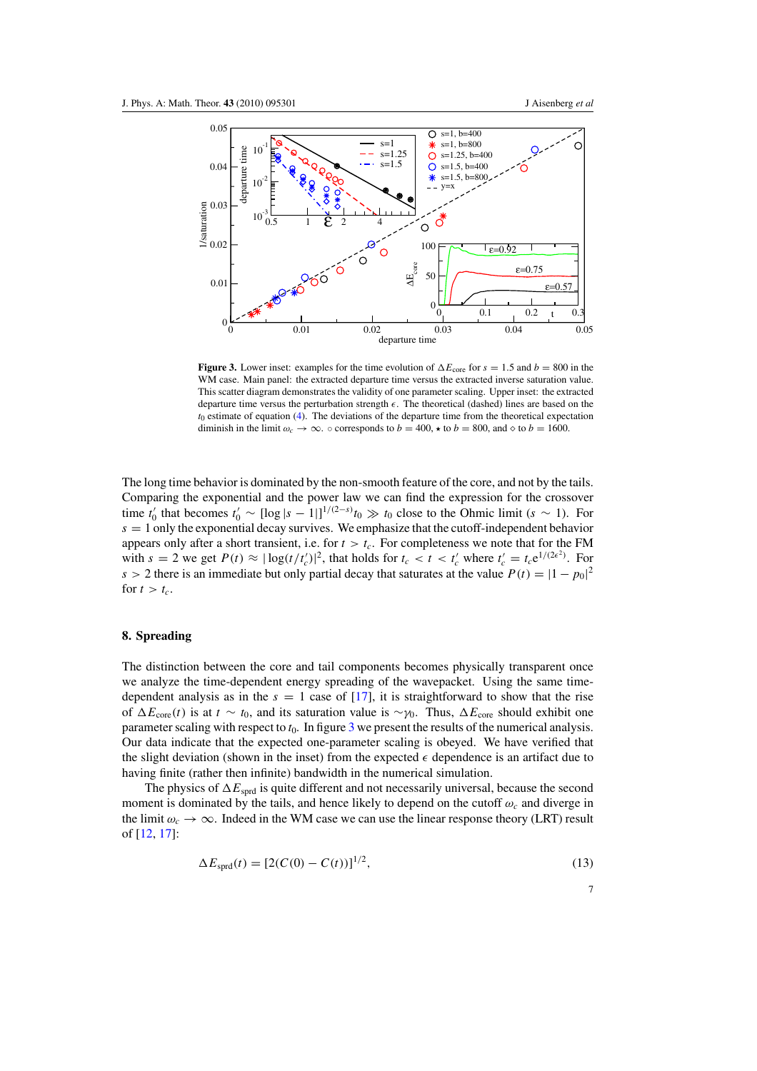

**Figure 3.** Lower inset: examples for the time evolution of  $\Delta E_{\text{core}}$  for  $s = 1.5$  and  $b = 800$  in the WM case. Main panel: the extracted departure time versus the extracted inverse saturation value. This scatter diagram demonstrates the validity of one parameter scaling. Upper inset: the extracted departure time versus the perturbation strength  $\epsilon$ . The theoretical (dashed) lines are based on the *t*<sup>0</sup> estimate of equation (4). The deviations of the departure time from the theoretical expectation diminish in the limit  $\omega_c \to \infty$ .  $\circ$  corresponds to  $b = 400$ ,  $\star$  to  $b = 800$ , and  $\circ$  to  $b = 1600$ .

The long time behavior is dominated by the non-smooth feature of the core, and not by the tails. Comparing the exponential and the power law we can find the expression for the crossover time  $t'_0$  that becomes  $t'_0 \sim [\log |s - 1|]^{1/(2-s)} t_0 \gg t_0$  close to the Ohmic limit  $(s \sim 1)$ . For  $s = 1$  only the exponential decay survives. We emphasize that the cutoff-independent behavior appears only after a short transient, i.e. for  $t > t_c$ . For completeness we note that for the FM with  $s = 2$  we get  $P(t) \approx |\log(t/t_c')|^2$ , that holds for  $t_c < t < t_c'$  where  $t_c' = t_c e^{1/(2\epsilon^2)}$ . For *s* > 2 there is an immediate but only partial decay that saturates at the value  $P(t) = |1 - p_0|^2$ for  $t > t_c$ .

# **8. Spreading**

The distinction between the core and tail components becomes physically transparent once we analyze the time-dependent energy spreading of the wavepacket. Using the same timedependent analysis as in the  $s = 1$  case of [17], it is straightforward to show that the rise of  $\Delta E_{\text{core}}(t)$  is at  $t \sim t_0$ , and its saturation value is ~*γ*<sub>0</sub>. Thus,  $\Delta E_{\text{core}}$  should exhibit one parameter scaling with respect to  $t_0$ . In figure 3 we present the results of the numerical analysis. Our data indicate that the expected one-parameter scaling is obeyed. We have verified that the slight deviation (shown in the inset) from the expected  $\epsilon$  dependence is an artifact due to having finite (rather then infinite) bandwidth in the numerical simulation.

The physics of  $\Delta E_{\text{sord}}$  is quite different and not necessarily universal, because the second moment is dominated by the tails, and hence likely to depend on the cutoff *ωc* and diverge in the limit  $\omega_c \to \infty$ . Indeed in the WM case we can use the linear response theory (LRT) result of [12, 17]:

$$
\Delta E_{\text{sprd}}(t) = [2(C(0) - C(t))]^{1/2},\tag{13}
$$

7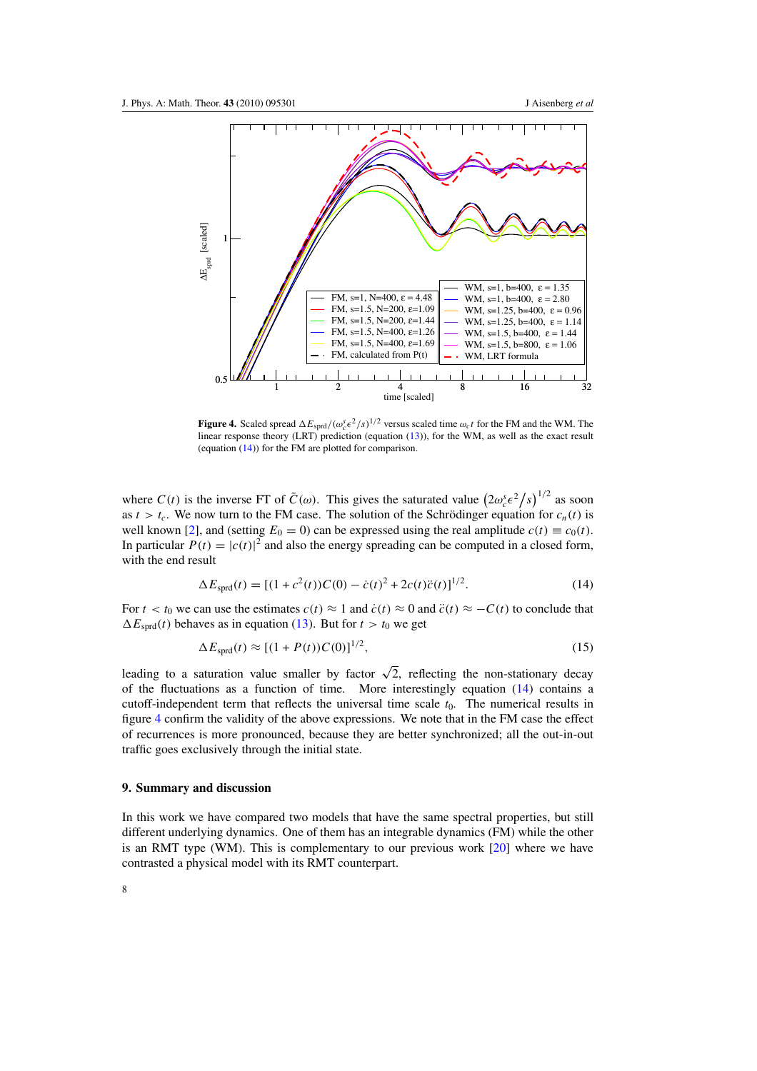

**Figure 4.** Scaled spread  $\Delta E_{\text{sprd}}/(\omega_c^s \epsilon^2 / s)^{1/2}$  versus scaled time  $\omega_c t$  for the FM and the WM. The linear response theory (LRT) prediction (equation (13)), for the WM, as well as the exact result (equation (14)) for the FM are plotted for comparison.

where  $C(t)$  is the inverse FT of  $\tilde{C}(\omega)$ . This gives the saturated value  $(2\omega_c^s \epsilon^2/s)^{1/2}$  as soon as  $t > t_c$ . We now turn to the FM case. The solution of the Schrödinger equation for  $c_n(t)$  is well known [2], and (setting  $E_0 = 0$ ) can be expressed using the real amplitude  $c(t) \equiv c_0(t)$ . In particular  $P(t) = |c(t)|^2$  and also the energy spreading can be computed in a closed form, with the end result

$$
\Delta E_{\text{sprd}}(t) = [(1 + c^2(t))C(0) - \dot{c}(t)^2 + 2c(t)\ddot{c}(t)]^{1/2}.
$$
\n(14)

For  $t < t_0$  we can use the estimates  $c(t) \approx 1$  and  $\dot{c}(t) \approx 0$  and  $\ddot{c}(t) \approx -C(t)$  to conclude that  $\Delta E_{\text{sord}}(t)$  behaves as in equation (13). But for  $t > t_0$  we get

$$
\Delta E_{\text{sprd}}(t) \approx [(1+P(t))C(0)]^{1/2},\tag{15}
$$

leading to a saturation value smaller by factor  $\sqrt{2}$ , reflecting the non-stationary decay of the fluctuations as a function of time. More interestingly equation  $(14)$  contains a cutoff-independent term that reflects the universal time scale  $t_0$ . The numerical results in figure 4 confirm the validity of the above expressions. We note that in the FM case the effect of recurrences is more pronounced, because they are better synchronized; all the out-in-out traffic goes exclusively through the initial state.

#### **9. Summary and discussion**

In this work we have compared two models that have the same spectral properties, but still different underlying dynamics. One of them has an integrable dynamics (FM) while the other is an RMT type (WM). This is complementary to our previous work [20] where we have contrasted a physical model with its RMT counterpart.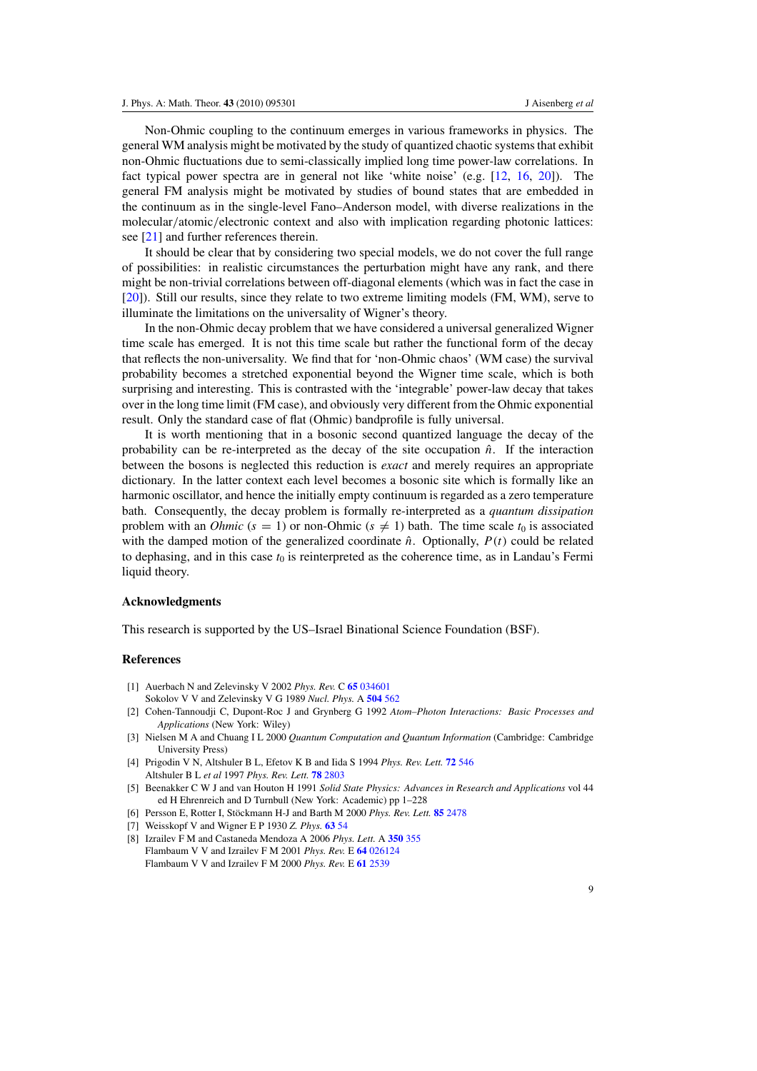Non-Ohmic coupling to the continuum emerges in various frameworks in physics. The general WM analysis might be motivated by the study of quantized chaotic systems that exhibit non-Ohmic fluctuations due to semi-classically implied long time power-law correlations. In fact typical power spectra are in general not like 'white noise' (e.g. [12, 16, 20]). The general FM analysis might be motivated by studies of bound states that are embedded in the continuum as in the single-level Fano–Anderson model, with diverse realizations in the molecular*/*atomic*/*electronic context and also with implication regarding photonic lattices: see [21] and further references therein.

It should be clear that by considering two special models, we do not cover the full range of possibilities: in realistic circumstances the perturbation might have any rank, and there might be non-trivial correlations between off-diagonal elements (which was in fact the case in [20]). Still our results, since they relate to two extreme limiting models (FM, WM), serve to illuminate the limitations on the universality of Wigner's theory.

In the non-Ohmic decay problem that we have considered a universal generalized Wigner time scale has emerged. It is not this time scale but rather the functional form of the decay that reflects the non-universality. We find that for 'non-Ohmic chaos' (WM case) the survival probability becomes a stretched exponential beyond the Wigner time scale, which is both surprising and interesting. This is contrasted with the 'integrable' power-law decay that takes over in the long time limit (FM case), and obviously very different from the Ohmic exponential result. Only the standard case of flat (Ohmic) bandprofile is fully universal.

It is worth mentioning that in a bosonic second quantized language the decay of the probability can be re-interpreted as the decay of the site occupation  $\hat{n}$ . If the interaction between the bosons is neglected this reduction is *exact* and merely requires an appropriate dictionary. In the latter context each level becomes a bosonic site which is formally like an harmonic oscillator, and hence the initially empty continuum is regarded as a zero temperature bath. Consequently, the decay problem is formally re-interpreted as a *quantum dissipation* problem with an *Ohmic* ( $s = 1$ ) or non-Ohmic ( $s \neq 1$ ) bath. The time scale  $t_0$  is associated with the damped motion of the generalized coordinate  $\hat{n}$ . Optionally,  $P(t)$  could be related to dephasing, and in this case  $t_0$  is reinterpreted as the coherence time, as in Landau's Fermi liquid theory.

#### **Acknowledgments**

This research is supported by the US–Israel Binational Science Foundation (BSF).

#### **References**

- [1] Auerbach N and Zelevinsky V 2002 *Phys. Rev.* C **65** 034601
- Sokolov V V and Zelevinsky V G 1989 *Nucl. Phys.* A **504** 562
- [2] Cohen-Tannoudji C, Dupont-Roc J and Grynberg G 1992 *Atom–Photon Interactions: Basic Processes and Applications* (New York: Wiley)
- [3] Nielsen M A and Chuang I L 2000 *Quantum Computation and Quantum Information* (Cambridge: Cambridge University Press)
- [4] Prigodin V N, Altshuler B L, Efetov K B and Iida S 1994 *Phys. Rev. Lett.* **72** 546 Altshuler B L *et al* 1997 *Phys. Rev. Lett.* **78** 2803
- [5] Beenakker C W J and van Houton H 1991 *Solid State Physics: Advances in Research and Applications* vol 44 ed H Ehrenreich and D Turnbull (New York: Academic) pp 1–228
- [6] Persson E, Rotter I, Stöckmann H-J and Barth M 2000 Phys. Rev. Lett. 85 2478
- [7] Weisskopf V and Wigner E P 1930 *Z. Phys.* **63** 54
- [8] Izrailev F M and Castaneda Mendoza A 2006 *Phys. Lett.* A **350** 355 Flambaum V V and Izrailev F M 2001 *Phys. Rev.* E **64** 026124 Flambaum V V and Izrailev F M 2000 *Phys. Rev.* E **61** 2539